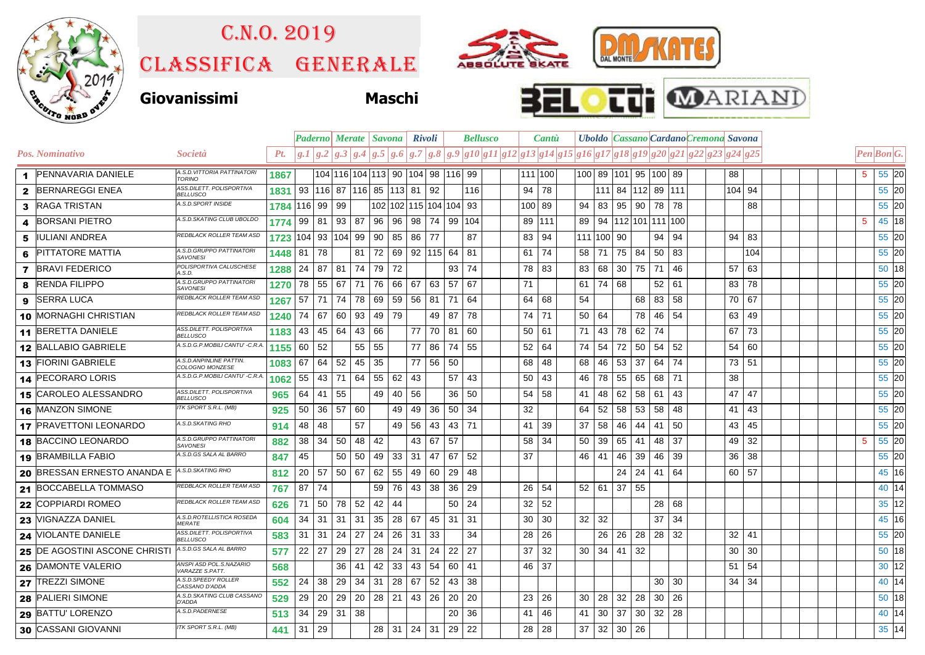

## C.n.o. 2019

Classifica generale







|    |                               |                                              |           | <b>Paderno</b> Merate   Savona   Rivoli |     |         |                                       |               |                     |           | <b>Bellusco</b> |    |                                                                                                                   | Cantù |              |    |                      |    |                     |    | Uboldo   Cassano   Cardano Cremona Savona |  |              |     |   |                   |       |
|----|-------------------------------|----------------------------------------------|-----------|-----------------------------------------|-----|---------|---------------------------------------|---------------|---------------------|-----------|-----------------|----|-------------------------------------------------------------------------------------------------------------------|-------|--------------|----|----------------------|----|---------------------|----|-------------------------------------------|--|--------------|-----|---|-------------------|-------|
|    | Pos. Nominativo               | <i>Società</i>                               | Pt.       | g <sub>1</sub>                          | g.2 | g.3 g.4 |                                       | $ g.5 $ $g.6$ |                     |           |                 |    | $g.7   g.8   g.9   g10   g11   g12   g13   g14   g15   g16   g17   g18   g19   g20   g21   g22   g23   g24   g25$ |       |              |    |                      |    |                     |    |                                           |  |              |     |   | <b>Pen Bon G.</b> |       |
|    | 1 PENNAVARIA DANIELE          | A.S.D. VITTORIA PATTINATORI<br><b>TORINO</b> | 1867      |                                         |     |         | 104 116 104 113  90  104  98  116  99 |               |                     |           |                 |    |                                                                                                                   |       | 111 100      |    | 100 89 101 95 100 89 |    |                     |    |                                           |  | 88           |     | 5 |                   | 55 20 |
|    | 2 BERNAREGGI ENEA             | ASS.DILETT. POLISPORTIVA<br><b>BELLUSCO</b>  | 1831      |                                         |     |         | 93   116   87   116   85   113   81   |               |                     |           | 92              |    | 116                                                                                                               | 94    | 78           |    | 111                  |    | 84   112   89   111 |    |                                           |  | 104 94       |     |   |                   | 55 20 |
|    | 3 RAGA TRISTAN                | A.S.D.SPORT INSIDE                           | 1784      | 116 99                                  |     | 99      |                                       |               | 102 102 115 104 104 |           |                 |    | 93                                                                                                                |       | 100 89       | 94 | 83                   | 95 | 90                  | 78 | -78                                       |  |              | 88  |   |                   | 55 20 |
|    | <b>BORSANI PIETRO</b>         | A.S.D.SKATING CLUB UBOLDO                    | 1774      | 99                                      | -81 | 93      | 87                                    | 96            | 96                  | 98        | 74              | 99 | 104                                                                                                               |       | 89 1111      | 89 | 94                   |    |                     |    | 112 101 111 100                           |  |              |     | 5 |                   | 45 18 |
| 5. | IIULIANI ANDREA               | REDBLACK ROLLER TEAM ASD                     | 1723      | 104                                     | 93  | 104     | 99                                    | 90            | 85                  | 86        | 77              |    | 87                                                                                                                | 83    | 94           |    | 111 100              | 90 |                     | 94 | 94                                        |  | 94           | 83  |   |                   | 55 20 |
| 6  | <b>PITTATORE MATTIA</b>       | A.S.D.GRUPPO PATTINATORI<br><b>SAVONESI</b>  | 1448      | 81                                      | 78  |         | 81                                    | 72            | 69                  | 92 115 64 |                 |    | 81                                                                                                                |       | $61 \mid 74$ | 58 | 71                   | 75 | 84                  |    | 50   83                                   |  |              | 104 |   |                   | 55 20 |
|    | <b>7</b> BRAVI FEDERICO       | POLISPORTIVA CALUSCHESE<br>4.S.D.            | 1288      | 24                                      | 87  | 81      | 74                                    | 79            | 72                  |           |                 | 93 | 74                                                                                                                | 78    | 83           | 83 | 68                   | 30 | 75                  | 71 | -46                                       |  | 57           | 63  |   |                   | 50 18 |
| 8  | <b>RENDA FILIPPO</b>          | A.S.D.GRUPPO PATTINATOR<br><b>SAVONESI</b>   | 1270      | 78                                      | 55  | 67      | 71                                    | 76            | 66                  | 67        | 63              | 57 | 67                                                                                                                | 71    |              | 61 | 74                   | 68 |                     |    | $52 \mid 61$                              |  | 83           | 78  |   |                   | 55 20 |
| 9  | <b>ISERRA LUCA</b>            | REDBLACK ROLLER TEAM ASD                     | 1267      | 57                                      | 71  | 74      | 78                                    | 69            | 59                  | 56        | 81              | 71 | 64                                                                                                                | 64    | 68           | 54 |                      |    | 68                  | 83 | 58                                        |  | 70           | 67  |   |                   | 55 20 |
|    | 10 MORNAGHI CHRISTIAN         | REDBLACK ROLLER TEAM ASD                     | 1240      | 74                                      | 67  | 60      | 93                                    | 49            | 79                  |           | 49              | 87 | 78                                                                                                                |       | 74 71        | 50 | 64                   |    | 78                  | 46 | -54                                       |  | 63           | 49  |   |                   | 55 20 |
|    | 11 BERETTA DANIELE            | ASS.DILETT. POLISPORTIVA<br><b>BELLUSCO</b>  | 1183      | 43                                      | 45  | 64      | 43                                    | 66            |                     | 77        | 70              | 81 | 60                                                                                                                |       | 50   61      | 71 | 43                   | 78 | 62                  | 74 |                                           |  | 67           | 73  |   |                   | 55 20 |
|    | 12 BALLABIO GABRIELE          | A.S.D.G.P.MOBILI CANTU' -C.R.A.              | $1155$ 60 |                                         | 52  |         | 55                                    | 55            |                     | 77        | 86              | 74 | 55                                                                                                                | 52    | 64           | 74 | 54                   | 72 | 50                  | 54 | -52                                       |  | 54           | 60  |   |                   | 55 20 |
|    | 13 FIORINI GABRIELE           | A.S.D.ANPINLINE PATTIN.<br>COLOGNO MONZESE   | 1083      | 67                                      | 64  | 52      | $45 \mid 35$                          |               |                     | 77        | 56              | 50 |                                                                                                                   | 68    | 48           | 68 | 46                   | 53 | 37                  | 64 | 74                                        |  | 73 51        |     |   |                   | 55 20 |
|    | 14 PECORARO LORIS             | A.S.D.G.P.MOBILI CANTU' -C.R.A.              | 1062      | 55                                      | 43  | 71      | 64                                    | 55            | 62                  | 43        |                 | 57 | 43                                                                                                                | 50    | 43           | 46 | 78                   | 55 | 65                  |    | 68 71                                     |  | 38           |     |   |                   | 55 20 |
|    | 15 CAROLEO ALESSANDRO         | ASS.DILETT. POLISPORTIVA<br><b>BELLUSCO</b>  | 965       | 64                                      | 41  | 55      |                                       | 49            | 40                  | 56        |                 | 36 | 50                                                                                                                | 54    | 58           | 41 | 48                   | 62 | 58                  | 61 | 43                                        |  | 47           | 47  |   |                   | 55 20 |
|    | 16 MANZON SIMONE              | <b>TK SPORT S.R.L. (MB)</b>                  | 925       | 50                                      | 36  | 57      | 60                                    |               | 49                  | 49        | 36              | 50 | -34                                                                                                               | 32    |              | 64 | 52                   | 58 | 53                  | 58 | -48                                       |  | 41           | 43  |   |                   | 55 20 |
|    | 17 PRAVETTONI LEONARDO        | 4.S.D. SKATING RHO                           | 914       | 48                                      | 48  |         | 57                                    |               | 49                  | 56        | 43              | 43 | 71                                                                                                                | 41    | 39           | 37 | 58                   | 46 | 44                  | 41 | -50                                       |  | 43           | 45  |   |                   | 55 20 |
|    | 18 BACCINO LEONARDO           | A.S.D.GRUPPO PATTINATORI<br><b>SAVONESI</b>  | 882       | 38                                      | 34  | 50      | 48 42                                 |               |                     | 43        | 67              | 57 |                                                                                                                   | 58    | -34          | 50 | 39                   | 65 | 41                  |    | 48 37                                     |  | 49 32        |     | 5 |                   | 55 20 |
|    | 19 BRAMBILLA FABIO            | A.S.D.GS SALA AL BARRO                       | 847       | 45                                      |     | 50      | 50                                    | 49            | 33                  | 31        | 47              | 67 | 52                                                                                                                | 37    |              | 46 | -41                  | 46 | 39                  | 46 | -39                                       |  | 36           | 38  |   |                   | 55 20 |
|    | 20 BRESSAN ERNESTO ANANDA E   | A.S.D.SKATING RHO                            | 812       | 20                                      | 57  | 50      | 67                                    | 62            | 55                  | 49        | 60              | 29 | 48                                                                                                                |       |              |    |                      | 24 | 24                  |    | 41 64                                     |  | 60           | 57  |   |                   | 45 16 |
|    | 21 BOCCABELLA TOMMASO         | REDBLACK ROLLER TEAM ASD                     | 767       | 87                                      | 74  |         |                                       | 59            | 76                  | 43        | 38              | 36 | 29                                                                                                                | 26    | -54          | 52 | 61                   | 37 | 55                  |    |                                           |  |              |     |   |                   | 40 14 |
|    | 22 COPPIARDI ROMEO            | REDBLACK ROLLER TEAM ASD                     | 626       | 71                                      | 50  | 78      | 52                                    | 42            | 44                  |           |                 | 50 | -24                                                                                                               | 32    | 52           |    |                      |    |                     | 28 | 68                                        |  |              |     |   |                   | 35 12 |
|    | 23 VIGNAZZA DANIEL            | A.S.D.ROTELLISTICA ROSEDA<br><b>MERATE</b>   | 604       | 34                                      | 31  | 31      | 31                                    | 35            | 28                  | 67        | 45              | 31 | 31                                                                                                                | 30    | 30           | 32 | 32                   |    |                     | 37 | 34                                        |  |              |     |   |                   | 45 16 |
|    | 24 VIOLANTE DANIELE           | ASS.DILETT. POLISPORTIVA<br><b>BELLUSCO</b>  | 583       | 31                                      | -31 | 24      | 27                                    | 24            | 26                  | -31       | 33              |    | 34                                                                                                                | 28    | - 26         |    | 26                   | 26 | 28                  |    | $28 \mid 32$                              |  | $32 \mid 41$ |     |   |                   | 55 20 |
|    | 25 DE AGOSTINI ASCONE CHRISTI | 4.S.D.GS SALA AL BARRO                       | 577       | 22                                      | 27  | 29      | 27                                    | 28            | 24                  | 31        | 24              | 22 | 27                                                                                                                | 37    | 32           | 30 | 34                   | 41 | 32                  |    |                                           |  | 30           | 30  |   |                   | 50 18 |
|    | 26 DAMONTE VALERIO            | ANSPI ASD POL.S.NAZARIO<br>VARAZZE S.PATT.   | 568       |                                         |     | 36      | 41                                    | 42            | 33                  | 43        | 54              | 60 | -41                                                                                                               |       | 46 37        |    |                      |    |                     |    |                                           |  | 51           | 54  |   |                   | 30 12 |
|    | 27 TREZZI SIMONE              | A.S.D.SPEEDY ROLLER<br>CASSANO D'ADDA        | 552       | 24                                      | 38  | 29      | 34                                    | 31            | 28                  | 67        | 52              | 43 | 38                                                                                                                |       |              |    |                      |    |                     | 30 | 30                                        |  | 34           | 34  |   |                   | 40 14 |
|    | 28 PALIERI SIMONE             | A.S.D.SKATING CLUB CASSANO<br><b>D'ADDA</b>  | 529       | 29                                      | 20  | 29      | 20 l                                  |               | $28$   21           | -43       | 26              | 20 | 20                                                                                                                | 23    | 26           | 30 | 28                   | 32 | 28                  |    | 30 26                                     |  |              |     |   |                   | 50 18 |
|    | 29 BATTU' LORENZO             | A.S.D.PADERNESE                              | 513       | 34                                      | 29  | -31     | -38                                   |               |                     |           |                 | 20 | 36                                                                                                                | 41    | 46           | 41 | 30                   | 37 | 30                  |    | $32 \mid 28$                              |  |              |     |   |                   | 40 14 |
|    | 30 CASSANI GIOVANNI           | ITK SPORT S.R.L. (MB)                        | 441       | $31 \mid 29$                            |     |         |                                       |               | $28$   31   24   31 |           |                 | 29 | 22                                                                                                                |       | $28 \mid 28$ | 37 | 32                   |    | $30 \mid 26$        |    |                                           |  |              |     |   |                   | 35 14 |